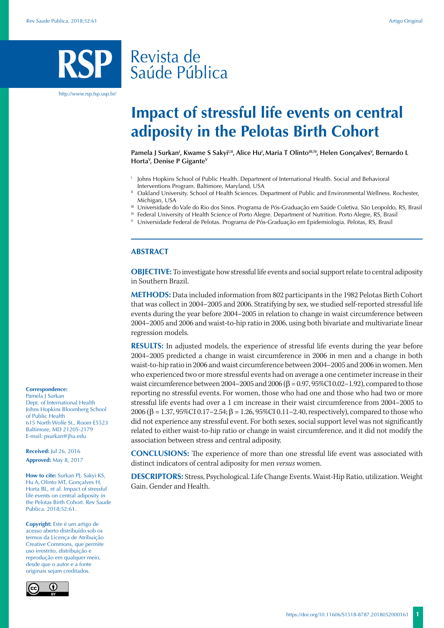# Revista de Saúde Pública

http://www.rsp.fsp.usp.br/

# **Impact of stressful life events on central adiposity in the Pelotas Birth Cohort**

Pamela J Surkan<sup>ı</sup>, Kwame S Sakyi<sup>ı,ıı</sup>, Alice Hu<sup>ı</sup>, Maria T Olinto<sup>ın,ıv</sup>, Helen Gonçalves<sup>v</sup>, Bernardo L **HortaV , Denise P GiganteV**

- Johns Hopkins School of Public Health. Department of International Health. Social and Behavioral Interventions Program. Baltimore, Maryland, USA
- II Oakland University. School of Health Sciences. Department of Public and Environmental Wellness. Rochester, Michigan, USA
- III Universidade do Vale do Rio dos Sinos. Programa de Pós-Graduação em Saúde Coletiva. São Leopoldo, RS, Brasil
- IV Federal University of Health Science of Porto Alegre. Department of Nutrition. Porto Alegre, RS, Brasil
- <sup>V</sup> Universidade Federal de Pelotas. Programa de Pós-Graduação em Epidemiologia. Pelotas, RS, Brasil

### **ABSTRACT**

**OBJECTIVE:** To investigate how stressful life events and social support relate to central adiposity in Southern Brazil.

**METHODS:** Data included information from 802 participants in the 1982 Pelotas Birth Cohort that was collect in 2004–2005 and 2006. Stratifying by sex, we studied self-reported stressful life events during the year before 2004–2005 in relation to change in waist circumference between 2004–2005 and 2006 and waist-to-hip ratio in 2006, using both bivariate and multivariate linear regression models.

**RESULTS:** In adjusted models, the experience of stressful life events during the year before 2004–2005 predicted a change in waist circumference in 2006 in men and a change in both waist-to-hip ratio in 2006 and waist circumference between 2004–2005 and 2006 in women. Men who experienced two or more stressful events had on average a one centimeter increase in their waist circumference between 2004–2005 and 2006 ( $β = 0.97, 95% CI 0.02-1.92$ ), compared to those reporting no stressful events. For women, those who had one and those who had two or more stressful life events had over a 1 cm increase in their waist circumference from 2004–2005 to 2006 (β = 1.37, 95%CI 0.17–2.54; β = 1.26, 95%CI 0.11–2.40, respectively), compared to those who did not experience any stressful event. For both sexes, social support level was not significantly related to either waist-to-hip ratio or change in waist circumference, and it did not modify the association between stress and central adiposity.

**CONCLUSIONS:** The experience of more than one stressful life event was associated with distinct indicators of central adiposity for men *versus* women.

**DESCRIPTORS:** Stress, Psychological. Life Change Events. Waist-Hip Ratio, utilization. Weight Gain. Gender and Health.

#### **Correspondence:**

Pamela J Surkan Dept. of International Health Johns Hopkins Bloomberg School of Public Health 615 North Wolfe St., Room E5523 Baltimore, MD 21205-2179 E-mail: psurkan@jhu.edu

**Received:** Jul 26, 2016 **Approved:** May 8, 2017

**How to cite:** Surkan PJ, Sakyi KS, Hu A, Olinto MT, Gonçalves H, Horta BL, et al. Impact of stressful life events on central adiposity in the Pelotas Birth Cohort. Rev Saude Publica. 2018;52:61.

**Copyright:** Este é um artigo de acesso aberto distribuído sob os termos da Licença de Atribuição Creative Commons, que permite uso irrestrito, distribuição e reprodução em qualquer meio, desde que o autor e a fonte originais sejam creditados.

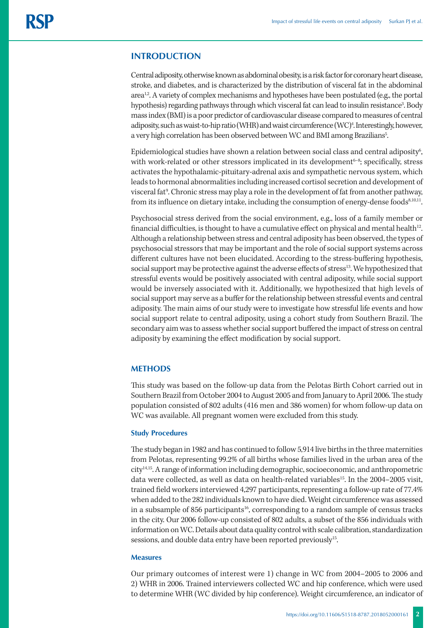## **INTRODUCTION**

Central adiposity, otherwise known as abdominal obesity, is a risk factor for coronary heart disease, stroke, and diabetes, and is characterized by the distribution of visceral fat in the abdominal  $area<sup>1,2</sup>$ . A variety of complex mechanisms and hypotheses have been postulated (e.g., the portal hypothesis) regarding pathways through which visceral fat can lead to insulin resistance<sup>3</sup>. Body mass index (BMI) is a poor predictor of cardiovascular disease compared to measures of central adiposity, such as waist-to-hip ratio (WHR) and waist circumference (WC)4 . Interestingly, however, a very high correlation has been observed between WC and BMI among Brazilians<sup>5</sup>. .

Epidemiological studies have shown a relation between social class and central adiposity $\rm^6$ , with work-related or other stressors implicated in its development<sup>6-8</sup>; specifically, stress activates the hypothalamic-pituitary-adrenal axis and sympathetic nervous system, which leads to hormonal abnormalities including increased cortisol secretion and development of visceral fat<sup>9</sup>. Chronic stress may play a role in the development of fat from another pathway, from its influence on dietary intake, including the consumption of energy-dense foods<sup>8,10,11</sup>.

Psychosocial stress derived from the social environment, e.g., loss of a family member or financial difficulties, is thought to have a cumulative effect on physical and mental health<sup>12</sup>. Although a relationship between stress and central adiposity has been observed, the types of psychosocial stressors that may be important and the role of social support systems across different cultures have not been elucidated. According to the stress-buffering hypothesis, social support may be protective against the adverse effects of stress<sup>13</sup>. We hypothesized that stressful events would be positively associated with central adiposity, while social support would be inversely associated with it. Additionally, we hypothesized that high levels of social support may serve as a buffer for the relationship between stressful events and central adiposity. The main aims of our study were to investigate how stressful life events and how social support relate to central adiposity, using a cohort study from Southern Brazil. The secondary aim was to assess whether social support buffered the impact of stress on central adiposity by examining the effect modification by social support.

## **METHODS**

This study was based on the follow-up data from the Pelotas Birth Cohort carried out in Southern Brazil from October 2004 to August 2005 and from January to April 2006. The study population consisted of 802 adults (416 men and 386 women) for whom follow-up data on WC was available. All pregnant women were excluded from this study.

#### **Study Procedures**

The study began in 1982 and has continued to follow 5,914 live births in the three maternities from Pelotas, representing 99.2% of all births whose families lived in the urban area of the city14,15. A range of information including demographic, socioeconomic, and anthropometric data were collected, as well as data on health-related variables<sup>15</sup>. In the 2004–2005 visit, trained field workers interviewed 4,297 participants, representing a follow-up rate of 77.4% when added to the 282 individuals known to have died. Weight circumference was assessed in a subsample of 856 participants<sup>16</sup>, corresponding to a random sample of census tracks in the city. Our 2006 follow-up consisted of 802 adults, a subset of the 856 individuals with information on WC. Details about data quality control with scale calibration, standardization sessions, and double data entry have been reported previously<sup>15</sup>.

#### **Measures**

Our primary outcomes of interest were 1) change in WC from 2004–2005 to 2006 and 2) WHR in 2006. Trained interviewers collected WC and hip conference, which were used to determine WHR (WC divided by hip conference). Weight circumference, an indicator of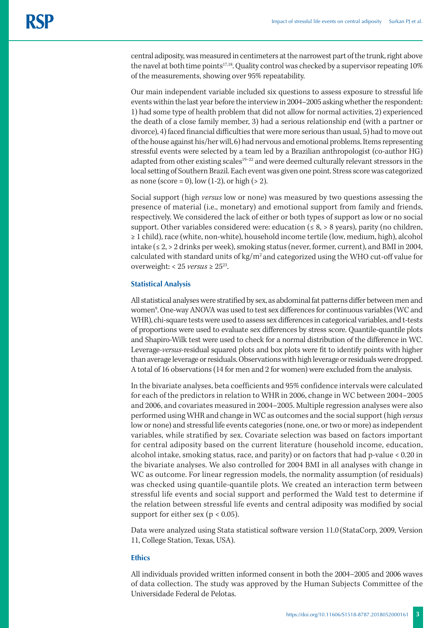central adiposity, was measured in centimeters at the narrowest part of the trunk, right above the navel at both time points<sup>17,18</sup>. Quality control was checked by a supervisor repeating 10% of the measurements, showing over 95% repeatability.

Our main independent variable included six questions to assess exposure to stressful life events within the last year before the interview in 2004–2005 asking whether the respondent: 1) had some type of health problem that did not allow for normal activities, 2) experienced the death of a close family member, 3) had a serious relationship end (with a partner or divorce), 4) faced financial difficulties that were more serious than usual, 5) had to move out of the house against his/her will, 6) had nervous and emotional problems. Items representing stressful events were selected by a team led by a Brazilian anthropologist (co-author HG) adapted from other existing scales<sup>19–22</sup> and were deemed culturally relevant stressors in the local setting of Southern Brazil. Each event was given one point. Stress score was categorized as none (score = 0), low  $(1-2)$ , or high  $(> 2)$ .

Social support (high *versus* low or none) was measured by two questions assessing the presence of material (i.e., monetary) and emotional support from family and friends, respectively. We considered the lack of either or both types of support as low or no social support. Other variables considered were: education ( $\leq 8$ ,  $> 8$  years), parity (no children, ≥ 1 child), race (white, non-white), household income tertile (low, medium, high), alcohol intake (≤ 2, > 2 drinks per week), smoking status (never, former, current), and BMI in 2004, calculated with standard units of  $kg/m^2$  and categorized using the WHO cut-off value for overweight: <  $25$  *versus*  $\geq 25^{23}$ .

#### **Statistical Analysis**

All statistical analyses were stratified by sex, as abdominal fat patterns differ between men and women<sup>9</sup>. One-way ANOVA was used to test sex differences for continuous variables (WC and WHR), chi-square tests were used to assess sex differences in categorical variables, and t-tests of proportions were used to evaluate sex differences by stress score. Quantile-quantile plots and Shapiro-Wilk test were used to check for a normal distribution of the difference in WC. Leverage-*versus*-residual squared plots and box plots were fit to identify points with higher than average leverage or residuals. Observations with high leverage or residuals were dropped. A total of 16 observations (14 for men and 2 for women) were excluded from the analysis.

In the bivariate analyses, beta coefficients and 95% confidence intervals were calculated for each of the predictors in relation to WHR in 2006, change in WC between 2004–2005 and 2006, and covariates measured in 2004–2005. Multiple regression analyses were also performed using WHR and change in WC as outcomes and the social support (high *versus* low or none) and stressful life events categories (none, one, or two or more) as independent variables, while stratified by sex. Covariate selection was based on factors important for central adiposity based on the current literature (household income, education, alcohol intake, smoking status, race, and parity) or on factors that had p-value < 0.20 in the bivariate analyses. We also controlled for 2004 BMI in all analyses with change in WC as outcome. For linear regression models, the normality assumption (of residuals) was checked using quantile-quantile plots. We created an interaction term between stressful life events and social support and performed the Wald test to determine if the relation between stressful life events and central adiposity was modified by social support for either sex ( $p < 0.05$ ).

Data were analyzed using Stata statistical software version 11.0 (StataCorp, 2009, Version 11, College Station, Texas, USA).

#### **Ethics**

All individuals provided written informed consent in both the 2004–2005 and 2006 waves of data collection. The study was approved by the Human Subjects Committee of the Universidade Federal de Pelotas.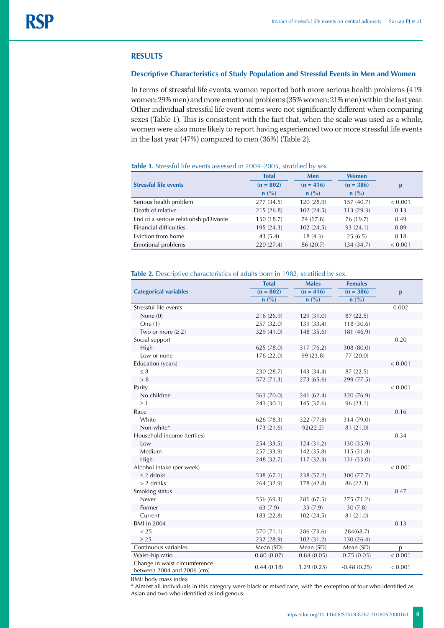#### **RESULTS**

### **Descriptive Characteristics of Study Population and Stressful Events in Men and Women**

In terms of stressful life events, women reported both more serious health problems (41% women; 29% men) and more emotional problems (35% women; 21% men) within the last year. Other individual stressful life event items were not significantly different when comparing sexes (Table 1). This is consistent with the fact that, when the scale was used as a whole, women were also more likely to report having experienced two or more stressful life events in the last year (47%) compared to men (36%) (Table 2).

**Table 1.** Stressful life events assessed in 2004–2005, stratified by sex.

|                                       | <b>Total</b> | Men         | <b>Women</b> |         |  |
|---------------------------------------|--------------|-------------|--------------|---------|--|
| <b>Stressful life events</b>          | $(n = 802)$  | $(n = 416)$ | $(n = 386)$  |         |  |
|                                       | $n$ (%)      | $n$ (%)     | $n$ (%)      |         |  |
| Serious health problem                | 277 (34.5)   | 120(28.9)   | 157(40.7)    | < 0.001 |  |
| Death of relative                     | 215(26.8)    | 102(24.5)   | 113(29.3)    | 0.13    |  |
| End of a serious relationship/Divorce | 150 (18.7)   | 74 (17.8)   | 76 (19.7)    | 0.49    |  |
| <b>Financial difficulties</b>         | 195 (24.3)   | 102(24.5)   | 93 (24.1)    | 0.89    |  |
| Eviction from home                    | 43(5.4)      | 18(4.3)     | 25(6.5)      | 0.18    |  |
| Emotional problems                    | 220 (27.4)   | 86 (20.7)   | 134 (34.7)   | < 0.001 |  |

#### Table 2. Descriptive characteristics of adults born in 1982, stratified by sex.

|                                                             | <b>Total</b> | <b>Males</b>   | <b>Females</b> |              |  |
|-------------------------------------------------------------|--------------|----------------|----------------|--------------|--|
| <b>Categorical variables</b>                                | $(n = 802)$  | $(n = 416)$    | $(n = 386)$    | $\mathbf{p}$ |  |
|                                                             | n(%)         | $n(^{0}/_{0})$ | $n(^{0}/_{0})$ |              |  |
| Stressful life events                                       |              |                |                | 0.002        |  |
| None $(0)$                                                  | 216 (26.9)   | 129 (31.0)     | 87 (22.5)      |              |  |
| One $(1)$                                                   | 257 (32.0)   | 139 (33.4)     | 118 (30.6)     |              |  |
| Two or more $(\geq 2)$                                      | 329 (41.0)   | 148 (35.6)     | 181 (46.9)     |              |  |
| Social support                                              |              |                |                | 0.20         |  |
| High                                                        | 625 (78.0)   | 317 (76.2)     | 308 (80.0)     |              |  |
| Low or none                                                 | 176 (22.0)   | 99 (23.8)      | 77 (20.0)      |              |  |
| Education (years)                                           |              |                |                | < 0.001      |  |
| $\leq 8$                                                    | 230 (28.7)   | 143 (34.4)     | 87 (22.5)      |              |  |
| > 8                                                         | 572 (71.3)   | 273 (65.6)     | 299 (77.5)     |              |  |
| Parity                                                      |              |                |                | < 0.001      |  |
| No children                                                 | 561 (70.0)   | 241 (62.4)     | 320 (76.9)     |              |  |
| $\geq 1$                                                    | 241 (30.1)   | 145 (37.6)     | 96(23.1)       |              |  |
| Race                                                        |              |                |                | 0.16         |  |
| White                                                       | 626 (78.3)   | 322 (77.8)     | 314 (79.0)     |              |  |
| Non-white*                                                  | 173 (21.6)   | 92(22.2)       | 81 (21.0)      |              |  |
| Household income (tertiles)                                 |              |                |                | 0.34         |  |
| Low                                                         | 254 (33.5)   | 124(31.2)      | 130 (35.9)     |              |  |
| Medium                                                      | 257 (33.9)   | 142 (35.8)     | 115(31.8)      |              |  |
| High                                                        | 248 (32.7)   | 117(32.3)      | 131 (33.0)     |              |  |
| Alcohol intake (per week)                                   |              |                |                | < 0.001      |  |
| $\leq$ 2 drinks                                             | 538 (67.1)   | 238 (57.2)     | 300 (77.7)     |              |  |
| $> 2$ drinks                                                | 264 (32.9)   | 178 (42.8)     | 86 (22.3)      |              |  |
| Smoking status                                              |              |                |                | 0.47         |  |
| Never                                                       | 556 (69.3)   | 281 (67.5)     | 275 (71.2)     |              |  |
| Former                                                      | 63 (7.9)     | 33 (7.9)       | 30(7.8)        |              |  |
| Current                                                     | 183 (22.8)   | 102(24.5)      | 81 (21.0)      |              |  |
| <b>BMI</b> in 2004                                          |              |                |                | 0.13         |  |
| < 25                                                        | 570 (71.1)   | 286 (73.6)     | 284(68.7)      |              |  |
| $\geq 25$                                                   | 232 (28.9)   | 102(31.2)      | 130 (26.4)     |              |  |
| Continuous variables                                        | Mean (SD)    | Mean (SD)      | Mean (SD)      | p            |  |
| Waist-hip ratio                                             | 0.80(0.07)   | 0.84(0.05)     | 0.75(0.05)     | < 0.001      |  |
| Change in waist circumference<br>between 2004 and 2006 (cm) | 0.44(0.18)   | 1.29(0.25)     | $-0.48(0.25)$  | < 0.001      |  |

BMI: body mass index

\* Almost all individuals in this category were black or mixed race, with the exception of four who identified as Asian and two who identified as indigenous.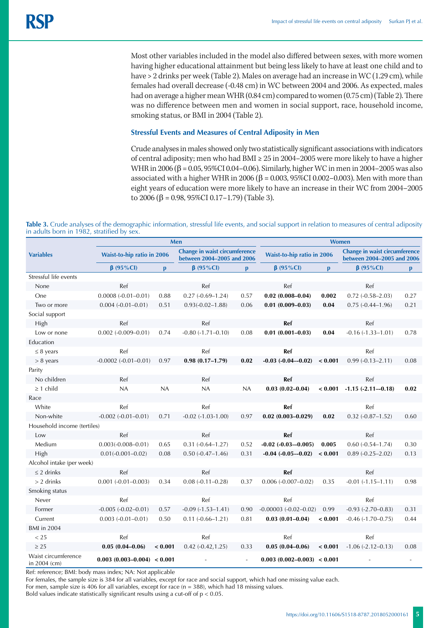Most other variables included in the model also differed between sexes, with more women having higher educational attainment but being less likely to have at least one child and to have > 2 drinks per week (Table 2). Males on average had an increase in WC (1.29 cm), while females had overall decrease (-0.48 cm) in WC between 2004 and 2006. As expected, males had on average a higher mean WHR (0.84 cm) compared to women (0.75 cm) (Table 2). There was no difference between men and women in social support, race, household income, smoking status, or BMI in 2004 (Table 2).

#### **Stressful Events and Measures of Central Adiposity in Men**

Crude analyses in males showed only two statistically significant associations with indicators of central adiposity; men who had BMI ≥ 25 in 2004–2005 were more likely to have a higher WHR in 2006 (β = 0.05, 95%CI 0.04–0.06). Similarly, higher WC in men in 2004–2005 was also associated with a higher WHR in 2006 ( $β = 0.003$ , 95%CI 0.002-0.003). Men with more than eight years of education were more likely to have an increase in their WC from 2004–2005 to 2006 (β = 0.98, 95%CI 0.17–1.79) (Table 3).

Table 3. Crude analyses of the demographic information, stressful life events, and social support in relation to measures of central adiposity in adults born in 1982, stratified by sex.

|                                       | Men                          |              |                                                             |      | <b>Women</b>                 |              |                                                             |              |
|---------------------------------------|------------------------------|--------------|-------------------------------------------------------------|------|------------------------------|--------------|-------------------------------------------------------------|--------------|
| <b>Variables</b>                      | Waist-to-hip ratio in 2006   |              | Change in waist circumference<br>between 2004-2005 and 2006 |      | Waist-to-hip ratio in 2006   |              | Change in waist circumference<br>between 2004-2005 and 2006 |              |
|                                       | $\beta$ (95%Cl)              | $\mathbf{p}$ | $\beta$ (95%Cl)                                             | p    | $\beta$ (95%Cl)              | $\mathbf{p}$ | $\beta$ (95%Cl)                                             | $\mathbf{p}$ |
| Stressful life events                 |                              |              |                                                             |      |                              |              |                                                             |              |
| None                                  | Ref                          |              | Ref                                                         |      | Ref                          |              | Ref                                                         |              |
| One                                   | $0.0008(-0.01-0.01)$         | 0.88         | $0.27(-0.69-1.24)$                                          | 0.57 | $0.02(0.008 - 0.04)$         | 0.002        | $0.72(-0.58-2.03)$                                          | 0.27         |
| Two or more                           | $0.004 (-0.01 - 0.01)$       | 0.51         | $0.93(-0.02-1.88)$                                          | 0.06 | $0.01(0.009 - 0.03)$         | 0.04         | $0.75(-0.44 - 1.96)$                                        | 0.21         |
| Social support                        |                              |              |                                                             |      |                              |              |                                                             |              |
| High                                  | Ref                          |              | Ref                                                         |      | Ref                          |              | Ref                                                         |              |
| Low or none                           | $0.002$ (-0.009-0.01)        | 0.74         | $-0.80(-1.71-0.10)$                                         | 0.08 | $0.01(0.001 - 0.03)$         | 0.04         | $-0.16(-1.33-1.01)$                                         | 0.78         |
| Education                             |                              |              |                                                             |      |                              |              |                                                             |              |
| $\leq$ 8 years                        | Ref                          |              | Ref                                                         |      | Ref                          |              | Ref                                                         |              |
| $> 8$ years                           | $-0.0002$ $(-0.01 - 0.01)$   | 0.97         | $0.98(0.17 - 1.79)$                                         | 0.02 | $-0.03$ $(-0.04 - 0.02)$     | < 0.001      | $0.99(-0.13 - 2.11)$                                        | 0.08         |
| Parity                                |                              |              |                                                             |      |                              |              |                                                             |              |
| No children                           | Ref                          |              | Ref                                                         |      | Ref                          |              | Ref                                                         |              |
| $\geq$ 1 child                        | NA                           | NA           | NA                                                          | NA   | $0.03(0.02 - 0.04)$          | < 0.001      | $-1.15(-2.11-0.18)$                                         | 0.02         |
| Race                                  |                              |              |                                                             |      |                              |              |                                                             |              |
| White                                 | Ref                          |              | Ref                                                         |      | Ref                          |              | Ref                                                         |              |
| Non-white                             | $-0.002$ $(-0.01 - 0.01)$    | 0.71         | $-0.02$ $(-1.03 - 1.00)$                                    | 0.97 | $0.02(0.003 - 0.029)$        | 0.02         | $0.32(-0.87-1.52)$                                          | 0.60         |
| Household income (tertiles)           |                              |              |                                                             |      |                              |              |                                                             |              |
| Low                                   | Ref                          |              | Ref                                                         |      | Ref                          |              | Ref                                                         |              |
| Medium                                | $0.003(-0.008-0.01)$         | 0.65         | $0.31(-0.64 - 1.27)$                                        | 0.52 | $-0.02$ $(-0.03 - 0.005)$    | 0.005        | $0.60(-0.54 - 1.74)$                                        | 0.30         |
| High                                  | $0.01(-0.001-0.02)$          | 0.08         | $0.50(-0.47-1.46)$                                          | 0.31 | $-0.04$ $(-0.05 - 0.02)$     | < 0.001      | $0.89(-0.25 - 2.02)$                                        | 0.13         |
| Alcohol intake (per week)             |                              |              |                                                             |      |                              |              |                                                             |              |
| $\leq$ 2 drinks                       | Ref                          |              | Ref                                                         |      | Ref                          |              | Ref                                                         |              |
| $> 2$ drinks                          | $0.001 (-0.01 - 0.003)$      | 0.34         | $0.08(-0.11 - 0.28)$                                        | 0.37 | $0.006 (-0.007 - 0.02)$      | 0.35         | $-0.01(-1.15-1.11)$                                         | 0.98         |
| Smoking status                        |                              |              |                                                             |      |                              |              |                                                             |              |
| Never                                 | Ref                          |              | Ref                                                         |      | Ref                          |              | Ref                                                         |              |
| Former                                | $-0.005 (-0.02 - 0.01)$      | 0.57         | $-0.09(-1.53 - 1.41)$                                       | 0.90 | $-0.00003 (-0.02 - 0.02)$    | 0.99         | $-0.93$ $(-2.70 - 0.83)$                                    | 0.31         |
| Current                               | $0.003 (-0.01 - 0.01)$       | 0.50         | $0.11 (-0.66 - 1.21)$                                       | 0.81 | $0.03(0.01 - 0.04)$          | < 0.001      | $-0.46(-1.70-0.75)$                                         | 0.44         |
| <b>BMI</b> in 2004                    |                              |              |                                                             |      |                              |              |                                                             |              |
| < 25                                  | Ref                          |              | Ref                                                         |      | Ref                          |              | Ref                                                         |              |
| $\geq$ 25                             | $0.05(0.04 - 0.06)$          | < 0.001      | $0.42 (-0.42, 1.25)$                                        | 0.33 | $0.05(0.04 - 0.06)$          | < 0.001      | $-1.06$ $(-2.12 - 0.13)$                                    | 0.08         |
| Waist circumference<br>in $2004$ (cm) | $0.003(0.003-0.004) < 0.001$ |              |                                                             |      | $0.003(0.002-0.003) < 0.001$ |              |                                                             |              |

Ref: reference; BMI: body mass index; NA: Not applicable

For females, the sample size is 384 for all variables, except for race and social support, which had one missing value each.

For men, sample size is 406 for all variables, except for race (n = 388), which had 18 missing values.

Bold values indicate statistically significant results using a cut-off of  $p < 0.05$ .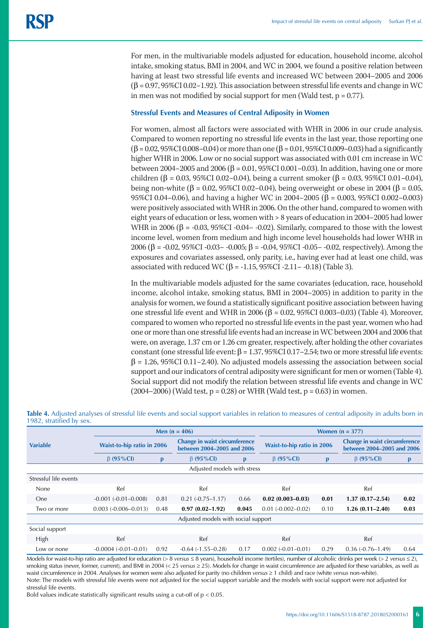For men, in the multivariable models adjusted for education, household income, alcohol intake, smoking status, BMI in 2004, and WC in 2004, we found a positive relation between having at least two stressful life events and increased WC between 2004–2005 and 2006  $(\beta = 0.97, 95\% \text{C}10.02 - 1.92)$ . This association between stressful life events and change in WC in men was not modified by social support for men (Wald test,  $p = 0.77$ ).

## **Stressful Events and Measures of Central Adiposity in Women**

For women, almost all factors were associated with WHR in 2006 in our crude analysis. Compared to women reporting no stressful life events in the last year, those reporting one (β = 0.02, 95%CI 0.008–0.04) or more than one (β = 0.01, 95%CI 0.009–0.03) had a significantly higher WHR in 2006. Low or no social support was associated with 0.01 cm increase in WC between 2004–2005 and 2006 (β = 0.01, 95%CI 0.001–0.03). In addition, having one or more children (β = 0.03, 95%CI 0.02–0.04), being a current smoker (β = 0.03, 95%CI 0.01–0.04), being non-white (β = 0.02, 95%CI 0.02–0.04), being overweight or obese in 2004 (β = 0.05, 95%CI 0.04–0.06), and having a higher WC in 2004–2005 (β = 0.003, 95%CI 0.002–0.003) were positively associated with WHR in 2006. On the other hand, compared to women with eight years of education or less, women with > 8 years of education in 2004–2005 had lower WHR in 2006 ( $\beta$  = -0.03, 95%CI -0.04- -0.02). Similarly, compared to those with the lowest income level, women from medium and high income level households had lower WHR in 2006 (β = -0.02, 95%CI -0.03– -0.005; β = -0.04, 95%CI -0.05– -0.02, respectively). Among the exposures and covariates assessed, only parity, i.e., having ever had at least one child, was associated with reduced WC (β = -1.15, 95%CI -2.11 - -0.18) (Table 3).

In the multivariable models adjusted for the same covariates (education, race, household income, alcohol intake, smoking status, BMI in 2004–2005) in addition to parity in the analysis for women, we found a statistically significant positive association between having one stressful life event and WHR in 2006 (β = 0.02, 95%CI 0.003–0.03) (Table 4). Moreover, compared to women who reported no stressful life events in the past year, women who had one or more than one stressful life events had an increase in WC between 2004 and 2006 that were, on average, 1.37 cm or 1.26 cm greater, respectively, after holding the other covariates constant (one stressful life event:  $β = 1.37,95%CI 0.17–2.54$ ; two or more stressful life events:  $\beta$  = 1.26, 95%CI 0.11–2.40). No adjusted models assessing the association between social support and our indicators of central adiposity were significant for men or women (Table 4). Social support did not modify the relation between stressful life events and change in WC  $(2004–2006)$  (Wald test, p = 0.28) or WHR (Wald test, p = 0.63) in women.

|                                     | Men $(n = 406)$            |      |                                                             |       | Women $(n = 377)$          |      |                                                             |      |  |
|-------------------------------------|----------------------------|------|-------------------------------------------------------------|-------|----------------------------|------|-------------------------------------------------------------|------|--|
| <b>Variable</b>                     | Waist-to-hip ratio in 2006 |      | Change in waist circumference<br>between 2004-2005 and 2006 |       | Waist-to-hip ratio in 2006 |      | Change in waist circumference<br>between 2004-2005 and 2006 |      |  |
|                                     | $\beta$ (95%Cl)            |      | $\beta$ (95%CI)                                             | p     | $\beta$ (95%CI)            |      | $\beta$ (95%CI)                                             | p    |  |
| Adjusted models with stress         |                            |      |                                                             |       |                            |      |                                                             |      |  |
| Stressful life events               |                            |      |                                                             |       |                            |      |                                                             |      |  |
| None                                | Ref                        |      |                                                             | Ref   |                            | Ref  |                                                             | Ref  |  |
| One.                                | $-0.001 (-0.01 - 0.008)$   | 0.81 | $0.21 (-0.75 - 1.17)$                                       | 0.66  | $0.02(0.003 - 0.03)$       | 0.01 | $1.37(0.17-2.54)$                                           | 0.02 |  |
| Two or more                         | $0.003 (-0.006 - 0.013)$   | 0.48 | $0.97(0.02 - 1.92)$                                         | 0.045 | $0.01 (-0.002 - 0.02)$     | 0.10 | $1.26(0.11 - 2.40)$                                         | 0.03 |  |
| Adjusted models with social support |                            |      |                                                             |       |                            |      |                                                             |      |  |
| Social support                      |                            |      |                                                             |       |                            |      |                                                             |      |  |
| <b>High</b>                         | Ref                        |      | Ref                                                         |       | Ref                        |      | Ref                                                         |      |  |
| Low or none                         | $-0.0004(-0.01-0.01)$      | 0.92 | $-0.64$ $(-1.55 - 0.28)$                                    | 0.17  | $0.002(-0.01-0.01)$        | 0.29 | $0.36(-0.76-1.49)$                                          | 0.64 |  |

**Table 4.** Adjusted analyses of stressful life events and social support variables in relation to measures of central adiposity in adults born in 1982, stratified by sex.

Models for waist-to-hip ratio are adjusted for education (> 8 *versus* ≤ 8 years), household income (tertiles), number of alcoholic drinks per week (> 2 *versus* ≤ 2), smoking status (never, former, current), and BMI in 2004 (< 25 *versus* ≥ 25). Models for change in waist circumference are adjusted for these variables, as well as waist circumference in 2004. Analyses for women were also adjusted for parity (no children *versus* ≥ 1 child) and race (white *versus* non-white). Note: The models with stressful life events were not adjusted for the social support variable and the models with social support were not adjusted for stressful life events.

Bold values indicate statistically significant results using a cut-off of  $p < 0.05$ .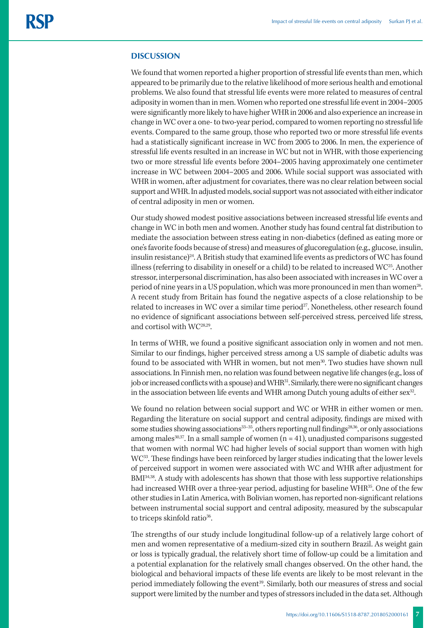#### **DISCUSSION**

We found that women reported a higher proportion of stressful life events than men, which appeared to be primarily due to the relative likelihood of more serious health and emotional problems. We also found that stressful life events were more related to measures of central adiposity in women than in men. Women who reported one stressful life event in 2004–2005 were significantly more likely to have higher WHR in 2006 and also experience an increase in change in WC over a one- to two-year period, compared to women reporting no stressful life events. Compared to the same group, those who reported two or more stressful life events had a statistically significant increase in WC from 2005 to 2006. In men, the experience of stressful life events resulted in an increase in WC but not in WHR, with those experiencing two or more stressful life events before 2004–2005 having approximately one centimeter increase in WC between 2004–2005 and 2006. While social support was associated with WHR in women, after adjustment for covariates, there was no clear relation between social support and WHR. In adjusted models, social support was not associated with either indicator of central adiposity in men or women.

Our study showed modest positive associations between increased stressful life events and change in WC in both men and women. Another study has found central fat distribution to mediate the association between stress eating in non-diabetics (defined as eating more or one's favorite foods because of stress) and measures of glucoregulation (e.g., glucose, insulin, insulin resistance)<sup>24</sup>. A British study that examined life events as predictors of WC has found illness (referring to disability in oneself or a child) to be related to increased WC<sup>25</sup>. Another stressor, interpersonal discrimination, has also been associated with increases in WC over a period of nine years in a US population, which was more pronounced in men than women<sup>26</sup>. A recent study from Britain has found the negative aspects of a close relationship to be related to increases in WC over a similar time period<sup>27</sup>. Nonetheless, other research found no evidence of significant associations between self-perceived stress, perceived life stress, and cortisol with WC28,29.

In terms of WHR, we found a positive significant association only in women and not men. Similar to our findings, higher perceived stress among a US sample of diabetic adults was found to be associated with WHR in women, but not men<sup>30</sup>. Two studies have shown null associations. In Finnish men, no relation was found between negative life changes (e.g., loss of job or increased conflicts with a spouse) and WHR<sup>31</sup>. Similarly, there were no significant changes in the association between life events and WHR among Dutch young adults of either sex<sup>32</sup>.

We found no relation between social support and WC or WHR in either women or men. Regarding the literature on social support and central adiposity, findings are mixed with some studies showing associations<sup>33–35</sup>, others reporting null findings<sup>28,36</sup>, or only associations among males<sup>30,37</sup>. In a small sample of women  $(n = 41)$ , unadjusted comparisons suggested that women with normal WC had higher levels of social support than women with high WC33. These findings have been reinforced by larger studies indicating that the lower levels of perceived support in women were associated with WC and WHR after adjustment for BMI34,38. A study with adolescents has shown that those with less supportive relationships had increased WHR over a three-year period, adjusting for baseline WHR<sup>35</sup>. One of the few other studies in Latin America, with Bolivian women, has reported non-significant relations between instrumental social support and central adiposity, measured by the subscapular to triceps skinfold ratio<sup>36</sup>.

The strengths of our study include longitudinal follow-up of a relatively large cohort of men and women representative of a medium-sized city in southern Brazil. As weight gain or loss is typically gradual, the relatively short time of follow-up could be a limitation and a potential explanation for the relatively small changes observed. On the other hand, the biological and behavioral impacts of these life events are likely to be most relevant in the period immediately following the event<sup>39</sup>. Similarly, both our measures of stress and social support were limited by the number and types of stressors included in the data set. Although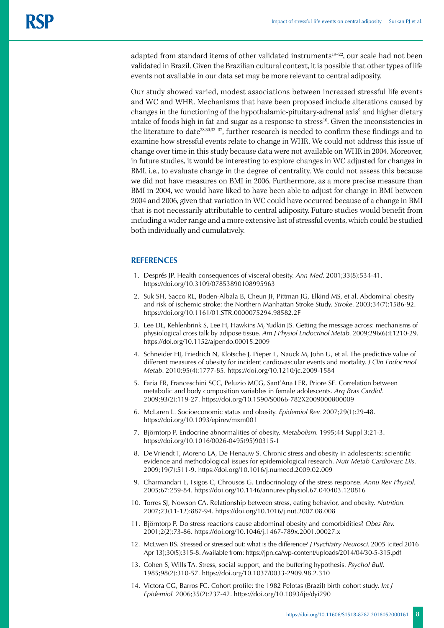adapted from standard items of other validated instruments<sup>19-22</sup>, our scale had not been validated in Brazil. Given the Brazilian cultural context, it is possible that other types of life events not available in our data set may be more relevant to central adiposity.

Our study showed varied, modest associations between increased stressful life events and WC and WHR. Mechanisms that have been proposed include alterations caused by changes in the functioning of the hypothalamic-pituitary-adrenal axis<sup>9</sup> and higher dietary intake of foods high in fat and sugar as a response to stress<sup>10</sup>. Given the inconsistencies in the literature to date28,30,33–37, further research is needed to confirm these findings and to examine how stressful events relate to change in WHR. We could not address this issue of change over time in this study because data were not available on WHR in 2004. Moreover, in future studies, it would be interesting to explore changes in WC adjusted for changes in BMI, i.e., to evaluate change in the degree of centrality. We could not assess this because we did not have measures on BMI in 2006. Furthermore, as a more precise measure than BMI in 2004, we would have liked to have been able to adjust for change in BMI between 2004 and 2006, given that variation in WC could have occurred because of a change in BMI that is not necessarily attributable to central adiposity. Future studies would benefit from including a wider range and a more extensive list of stressful events, which could be studied both individually and cumulatively.

## **REFERENCES**

- 1. Després JP. Health consequences of visceral obesity. *Ann Med.* 2001;33(8):534-41. <https://doi.org/10.3109/07853890108995963>
- 2. Suk SH, Sacco RL, Boden-Albala B, Cheun JF, Pittman JG, Elkind MS, et al. Abdominal obesity and risk of ischemic stroke: the Northern Manhattan Stroke Study. *Stroke.* 2003;34(7):1586-92. https://doi.org/10.1161/01.STR.0000075294.98582.2F
- 3. Lee DE, Kehlenbrink S, Lee H, Hawkins M, Yudkin JS. Getting the message across: mechanisms of physiological cross talk by adipose tissue. *Am J Physiol Endocrinol Metab.* 2009;296(6):E1210-29. https://doi.org/10.1152/ajpendo.00015.2009
- 4. Schneider HJ, Friedrich N, Klotsche J, Pieper L, Nauck M, John U, et al. The predictive value of different measures of obesity for incident cardiovascular events and mortality. *J Clin Endocrinol Metab.* 2010;95(4):1777-85.<https://doi.org/10.1210/jc.2009-1584>
- 5. Faria ER, Franceschini SCC, Peluzio MCG, Sant'Ana LFR, Priore SE. Correlation between metabolic and body composition variables in female adolescents. *Arq Bras Cardiol.*  2009;93(2):119-27. https://doi.org/10.1590/S0066-782X2009000800009
- 6. McLaren L. Socioeconomic status and obesity. *Epidemiol Rev.* 2007;29(1):29-48. <https://doi.org/10.1093/epirev/mxm001>
- 7. Björntorp P. Endocrine abnormalities of obesity. *Metabolism.* 1995;44 Suppl 3:21-3. https://doi.org/10.1016/0026-0495(95)90315-1
- 8. De Vriendt T, Moreno LA, De Henauw S. Chronic stress and obesity in adolescents: scientific evidence and methodological issues for epidemiological research. *Nutr Metab Cardiovasc Dis.*  2009;19(7):511-9. https://doi.org/10.1016/j.numecd.2009.02.009
- 9. Charmandari E, Tsigos C, Chrousos G. Endocrinology of the stress response. *Annu Rev Physiol.*  2005;67:259-84. https://doi.org/10.1146/annurev.physiol.67.040403.120816
- 10. Torres SJ, Nowson CA. Relationship between stress, eating behavior, and obesity. *Nutrition.*  2007;23(11-12):887-94. https://doi.org/10.1016/j.nut.2007.08.008
- 11. Björntorp P. Do stress reactions cause abdominal obesity and comorbidities? *Obes Rev.*  2001;2(2):73-86. https://doi.org/10.1046/j.1467-789x.2001.00027.x
- 12. McEwen BS. Stressed or stressed out: what is the difference? *J Psychiatry Neurosci.* 2005 [cited 2016 Apr 13];30(5):315-8. Available from: https://jpn.ca/wp-content/uploads/2014/04/30-5-315.pdf
- 13. Cohen S, Wills TA. Stress, social support, and the buffering hypothesis. *Psychol Bull.*  1985;98(2):310-57. <https://doi.org/10.1037/0033-2909.98.2.310>
- 14. Victora CG, Barros FC. Cohort profile: the 1982 Pelotas (Brazil) birth cohort study. *Int J Epidemiol.* 2006;35(2):237-42. <https://doi.org/10.1093/ije/dyi290>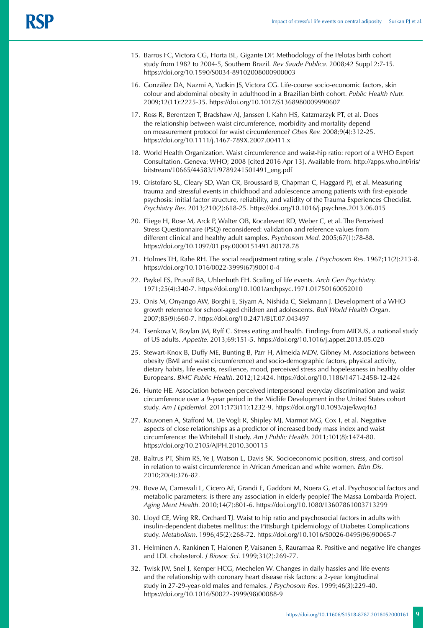- 15. Barros FC, Victora CG, Horta BL, Gigante DP. Methodology of the Pelotas birth cohort study from 1982 to 2004-5, Southern Brazil. *Rev Saude Publica.* 2008;42 Suppl 2:7-15. https://doi.org/10.1590/S0034-89102008000900003
- 16. González DA, Nazmi A, Yudkin JS, Victora CG. Life-course socio-economic factors, skin colour and abdominal obesity in adulthood in a Brazilian birth cohort. *Public Health Nutr.*  2009;12(11):2225-35. https://doi.org/10.1017/S1368980009990607
- 17. Ross R, Berentzen T, Bradshaw AJ, Janssen I, Kahn HS, Katzmarzyk PT, et al. Does the relationship between waist circumference, morbidity and mortality depend on measurement protocol for waist circumference? *Obes Rev.* 2008;9(4):312-25. https://doi.org/10.1111/j.1467-789X.2007.00411.x
- 18. World Health Organization*.* Waist circumference and waist-hip ratio: report of a WHO Expert Consultation. Geneva: WHO; 2008 [cited 2016 Apr 13]. Available from: http://apps.who.int/iris/ bitstream/10665/44583/1/9789241501491\_eng.pdf
- 19. Cristofaro SL, Cleary SD, Wan CR, Broussard B, Chapman C, Haggard PJ, et al. Measuring trauma and stressful events in childhood and adolescence among patients with first-episode psychosis: initial factor structure, reliability, and validity of the Trauma Experiences Checklist. *Psychiatry Res.* 2013;210(2):618-25.<https://doi.org/10.1016/j.psychres.2013.06.015>
- 20. Fliege H, Rose M, Arck P, Walter OB, Kocalevent RD, Weber C, et al. The Perceived Stress Questionnaire (PSQ) reconsidered: validation and reference values from different clinical and healthy adult samples. *Psychosom Med.* 2005;67(1):78-88. https://doi.org/10.1097/01.psy.0000151491.80178.78
- 21. Holmes TH, Rahe RH. The social readjustment rating scale. *J Psychosom Res.* 1967;11(2):213-8. https://doi.org/10.1016/0022-3999(67)90010-4
- 22. Paykel ES, Prusoff BA, Uhlenhuth EH. Scaling of life events. *Arch Gen Psychiatry.*  1971;25(4):340-7. https://doi.org/10.1001/archpsyc.1971.01750160052010
- 23. Onis M, Onyango AW, Borghi E, Siyam A, Nishida C, Siekmann J. Development of a WHO growth reference for school-aged children and adolescents. *Bull World Health Organ*. 2007;85(9):660-7. https://doi.org/10.2471/BLT.07.043497
- 24. Tsenkova V, Boylan JM, Ryff C. Stress eating and health. Findings from MIDUS, a national study of US adults. *Appetite.* 2013;69:151-5.<https://doi.org/10.1016/j.appet.2013.05.020>
- 25. Stewart-Knox B, Duffy ME, Bunting B, Parr H, Almeida MDV, Gibney M. Associations between obesity (BMI and waist circumference) and socio-demographic factors, physical activity, dietary habits, life events, resilience, mood, perceived stress and hopelessness in healthy older Europeans. *BMC Public Health.* 2012;12:424. https://doi.org/10.1186/1471-2458-12-424
- 26. Hunte HE. Association between perceived interpersonal everyday discrimination and waist circumference over a 9-year period in the Midlife Development in the United States cohort study. *Am J Epidemiol.* 2011;173(11):1232-9.<https://doi.org/10.1093/aje/kwq463>
- 27. Kouvonen A, Stafford M, De Vogli R, Shipley MJ, Marmot MG, Cox T, et al. Negative aspects of close relationships as a predictor of increased body mass index and waist circumference: the Whitehall II study. *Am J Public Health.* 2011;101(8):1474-80. https://doi.org/10.2105/AJPH.2010.300115
- 28. Baltrus PT, Shim RS, Ye J, Watson L, Davis SK. Socioeconomic position, stress, and cortisol in relation to waist circumference in African American and white women. *Ethn Dis.*  2010;20(4):376-82.
- 29. Bove M, Carnevali L, Cicero AF, Grandi E, Gaddoni M, Noera G, et al. Psychosocial factors and metabolic parameters: is there any association in elderly people? The Massa Lombarda Project. *Aging Ment Health.* 2010;14(7):801-6. <https://doi.org/10.1080/13607861003713299>
- 30. Lloyd CE, Wing RR, Orchard TJ. Waist to hip ratio and psychosocial factors in adults with insulin-dependent diabetes mellitus: the Pittsburgh Epidemiology of Diabetes Complications study. *Metabolism.* 1996;45(2):268-72. https://doi.org/10.1016/S0026-0495(96)90065-7
- 31. Helminen A, Rankinen T, Halonen P, Vaisanen S, Rauramaa R. Positive and negative life changes and LDL cholesterol. *J Biosoc Sci.* 1999;31(2):269-77.
- 32. Twisk JW, Snel J, Kemper HCG, Mechelen W. Changes in daily hassles and life events and the relationship with coronary heart disease risk factors: a 2-year longitudinal study in 27-29-year-old males and females. *J Psychosom Res.* 1999;46(3):229-40. https://doi.org/10.1016/S0022-3999(98)00088-9